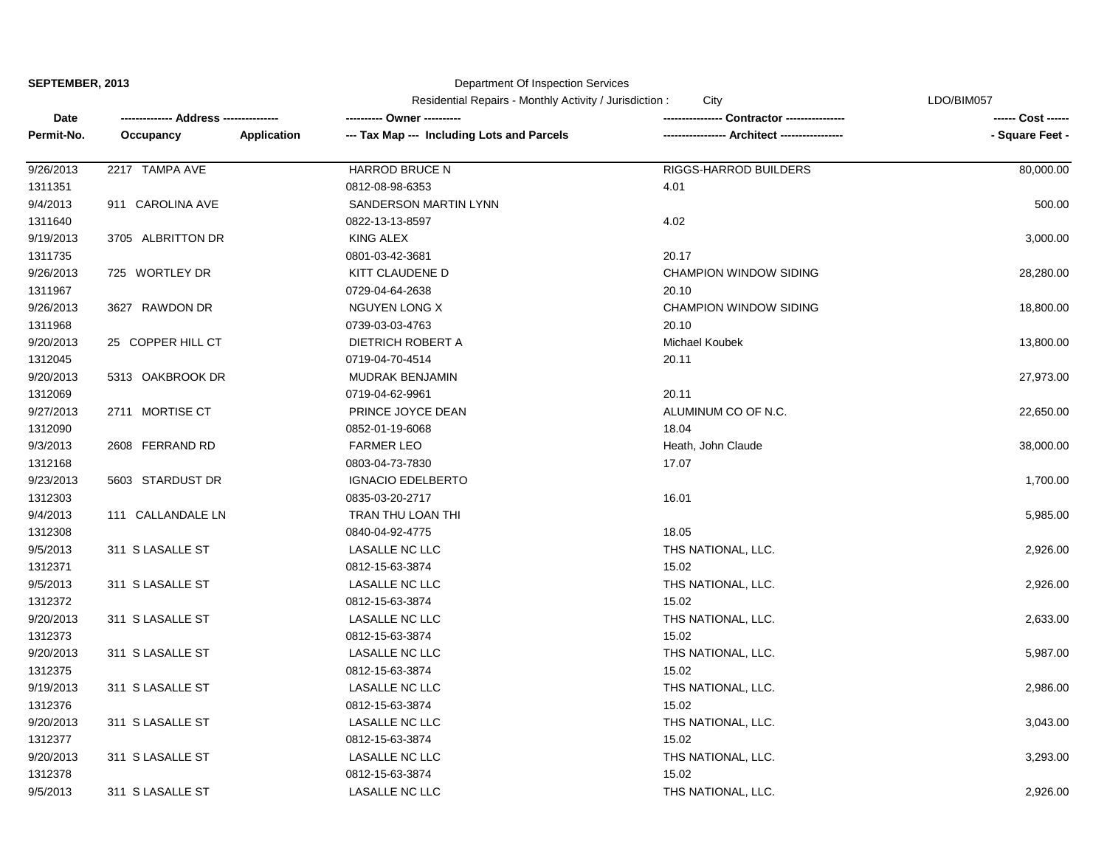| SEPTEMBER, 2013 |  |
|-----------------|--|
|-----------------|--|

|            |                   |             | Residential Repairs - Monthly Activity / Jurisdiction:<br>City |                               | LDO/BIM057         |  |
|------------|-------------------|-------------|----------------------------------------------------------------|-------------------------------|--------------------|--|
| Date       |                   |             | ---------- Owner ----------                                    |                               | ------ Cost ------ |  |
| Permit-No. | Occupancy         | Application | --- Tax Map --- Including Lots and Parcels                     | -- Architect ------           | - Square Feet -    |  |
| 9/26/2013  | 2217 TAMPA AVE    |             | <b>HARROD BRUCE N</b>                                          | RIGGS-HARROD BUILDERS         | 80,000.00          |  |
| 1311351    |                   |             | 0812-08-98-6353                                                | 4.01                          |                    |  |
| 9/4/2013   | 911 CAROLINA AVE  |             | SANDERSON MARTIN LYNN                                          |                               | 500.00             |  |
| 1311640    |                   |             | 0822-13-13-8597                                                | 4.02                          |                    |  |
| 9/19/2013  | 3705 ALBRITTON DR |             | <b>KING ALEX</b>                                               |                               | 3,000.00           |  |
| 1311735    |                   |             | 0801-03-42-3681                                                | 20.17                         |                    |  |
| 9/26/2013  | 725 WORTLEY DR    |             | KITT CLAUDENE D                                                | <b>CHAMPION WINDOW SIDING</b> | 28,280.00          |  |
| 1311967    |                   |             | 0729-04-64-2638                                                | 20.10                         |                    |  |
| 9/26/2013  | 3627 RAWDON DR    |             | <b>NGUYEN LONG X</b>                                           | <b>CHAMPION WINDOW SIDING</b> | 18,800.00          |  |
| 1311968    |                   |             | 0739-03-03-4763                                                | 20.10                         |                    |  |
| 9/20/2013  | 25 COPPER HILL CT |             | <b>DIETRICH ROBERT A</b>                                       | <b>Michael Koubek</b>         | 13,800.00          |  |
| 1312045    |                   |             | 0719-04-70-4514                                                | 20.11                         |                    |  |
| 9/20/2013  | 5313 OAKBROOK DR  |             | <b>MUDRAK BENJAMIN</b>                                         |                               | 27,973.00          |  |
| 1312069    |                   |             | 0719-04-62-9961                                                | 20.11                         |                    |  |
| 9/27/2013  | 2711 MORTISE CT   |             | PRINCE JOYCE DEAN                                              | ALUMINUM CO OF N.C.           | 22,650.00          |  |
| 1312090    |                   |             | 0852-01-19-6068                                                | 18.04                         |                    |  |
| 9/3/2013   | 2608 FERRAND RD   |             | <b>FARMER LEO</b>                                              | Heath, John Claude            | 38,000.00          |  |
| 1312168    |                   |             | 0803-04-73-7830                                                | 17.07                         |                    |  |
| 9/23/2013  | 5603 STARDUST DR  |             | <b>IGNACIO EDELBERTO</b>                                       |                               | 1,700.00           |  |
| 1312303    |                   |             | 0835-03-20-2717                                                | 16.01                         |                    |  |
| 9/4/2013   | 111 CALLANDALE LN |             | TRAN THU LOAN THI                                              |                               | 5,985.00           |  |
| 1312308    |                   |             | 0840-04-92-4775                                                | 18.05                         |                    |  |
| 9/5/2013   | 311 S LASALLE ST  |             | <b>LASALLE NC LLC</b>                                          | THS NATIONAL, LLC.            | 2,926.00           |  |
| 1312371    |                   |             | 0812-15-63-3874                                                | 15.02                         |                    |  |
| 9/5/2013   | 311 S LASALLE ST  |             | <b>LASALLE NC LLC</b>                                          | THS NATIONAL, LLC.            | 2,926.00           |  |
| 1312372    |                   |             | 0812-15-63-3874                                                | 15.02                         |                    |  |
| 9/20/2013  | 311 S LASALLE ST  |             | <b>LASALLE NC LLC</b>                                          | THS NATIONAL, LLC.            | 2,633.00           |  |
| 1312373    |                   |             | 0812-15-63-3874                                                | 15.02                         |                    |  |
| 9/20/2013  | 311 S LASALLE ST  |             | <b>LASALLE NC LLC</b>                                          | THS NATIONAL, LLC.            | 5,987.00           |  |
| 1312375    |                   |             | 0812-15-63-3874                                                | 15.02                         |                    |  |
| 9/19/2013  | 311 S LASALLE ST  |             | <b>LASALLE NC LLC</b>                                          | THS NATIONAL, LLC.            | 2,986.00           |  |
| 1312376    |                   |             | 0812-15-63-3874                                                | 15.02                         |                    |  |
| 9/20/2013  | 311 S LASALLE ST  |             | LASALLE NC LLC                                                 | THS NATIONAL, LLC.            | 3,043.00           |  |
| 1312377    |                   |             | 0812-15-63-3874                                                | 15.02                         |                    |  |
| 9/20/2013  | 311 S LASALLE ST  |             | LASALLE NC LLC                                                 | THS NATIONAL, LLC.            | 3,293.00           |  |
| 1312378    |                   |             | 0812-15-63-3874                                                | 15.02                         |                    |  |
| 9/5/2013   | 311 S LASALLE ST  |             | <b>LASALLE NC LLC</b>                                          | THS NATIONAL, LLC.            | 2,926.00           |  |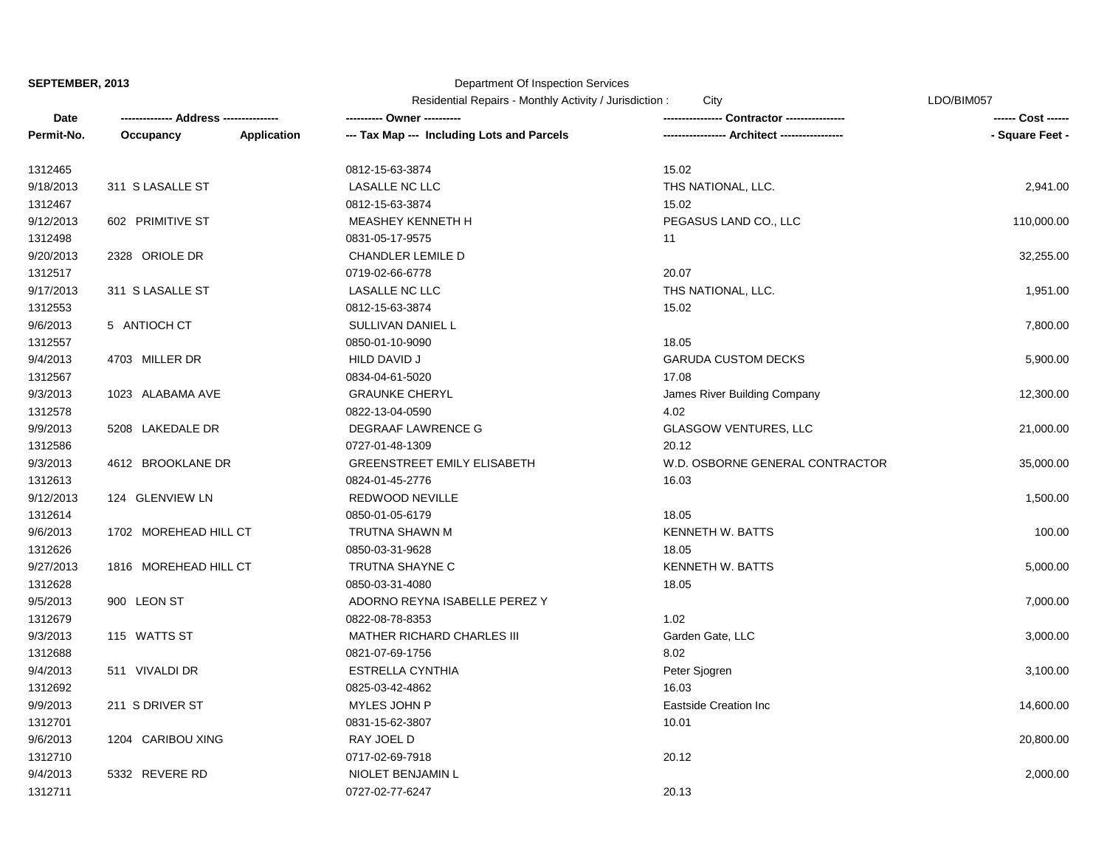|            |                       |                    | Residential Repairs - Monthly Activity / Jurisdiction :<br>City |                                 | LDO/BIM057         |  |
|------------|-----------------------|--------------------|-----------------------------------------------------------------|---------------------------------|--------------------|--|
| Date       | Address -----         |                    |                                                                 | Contractor ----------------     | ------ Cost ------ |  |
| Permit-No. | Occupancy             | <b>Application</b> | --- Tax Map --- Including Lots and Parcels                      |                                 | - Square Feet -    |  |
| 1312465    |                       |                    | 0812-15-63-3874                                                 | 15.02                           |                    |  |
| 9/18/2013  | 311 S LASALLE ST      |                    | LASALLE NC LLC                                                  | THS NATIONAL, LLC.              | 2,941.00           |  |
| 1312467    |                       |                    | 0812-15-63-3874                                                 | 15.02                           |                    |  |
| 9/12/2013  | 602 PRIMITIVE ST      |                    | MEASHEY KENNETH H                                               | PEGASUS LAND CO., LLC           | 110,000.00         |  |
| 1312498    |                       |                    | 0831-05-17-9575                                                 | 11                              |                    |  |
| 9/20/2013  | 2328 ORIOLE DR        |                    | CHANDLER LEMILE D                                               |                                 | 32,255.00          |  |
| 1312517    |                       |                    | 0719-02-66-6778                                                 | 20.07                           |                    |  |
| 9/17/2013  | 311 S LASALLE ST      |                    | LASALLE NC LLC                                                  | THS NATIONAL, LLC.              | 1,951.00           |  |
| 1312553    |                       |                    | 0812-15-63-3874                                                 | 15.02                           |                    |  |
| 9/6/2013   | 5 ANTIOCH CT          |                    | SULLIVAN DANIEL L                                               |                                 | 7,800.00           |  |
| 1312557    |                       |                    | 0850-01-10-9090                                                 | 18.05                           |                    |  |
| 9/4/2013   | 4703 MILLER DR        |                    | HILD DAVID J                                                    | <b>GARUDA CUSTOM DECKS</b>      | 5,900.00           |  |
| 1312567    |                       |                    | 0834-04-61-5020                                                 | 17.08                           |                    |  |
| 9/3/2013   | 1023 ALABAMA AVE      |                    | <b>GRAUNKE CHERYL</b>                                           | James River Building Company    | 12,300.00          |  |
| 1312578    |                       |                    | 0822-13-04-0590                                                 | 4.02                            |                    |  |
| 9/9/2013   | 5208 LAKEDALE DR      |                    | DEGRAAF LAWRENCE G                                              | <b>GLASGOW VENTURES, LLC</b>    | 21,000.00          |  |
| 1312586    |                       |                    | 0727-01-48-1309                                                 | 20.12                           |                    |  |
| 9/3/2013   | 4612 BROOKLANE DR     |                    | GREENSTREET EMILY ELISABETH                                     | W.D. OSBORNE GENERAL CONTRACTOR | 35,000.00          |  |
| 1312613    |                       |                    | 0824-01-45-2776                                                 | 16.03                           |                    |  |
| 9/12/2013  | 124 GLENVIEW LN       |                    | REDWOOD NEVILLE                                                 |                                 | 1,500.00           |  |
| 1312614    |                       |                    | 0850-01-05-6179                                                 | 18.05                           |                    |  |
| 9/6/2013   | 1702 MOREHEAD HILL CT |                    | TRUTNA SHAWN M                                                  | <b>KENNETH W. BATTS</b>         | 100.00             |  |
| 1312626    |                       |                    | 0850-03-31-9628                                                 | 18.05                           |                    |  |
| 9/27/2013  | 1816 MOREHEAD HILL CT |                    | TRUTNA SHAYNE C                                                 | <b>KENNETH W. BATTS</b>         | 5,000.00           |  |
| 1312628    |                       |                    | 0850-03-31-4080                                                 | 18.05                           |                    |  |
| 9/5/2013   | 900 LEON ST           |                    | ADORNO REYNA ISABELLE PEREZ Y                                   |                                 | 7,000.00           |  |
| 1312679    |                       |                    | 0822-08-78-8353                                                 | 1.02                            |                    |  |
| 9/3/2013   | 115 WATTS ST          |                    | MATHER RICHARD CHARLES III                                      | Garden Gate, LLC                | 3,000.00           |  |
| 1312688    |                       |                    | 0821-07-69-1756                                                 | 8.02                            |                    |  |
| 9/4/2013   | 511 VIVALDI DR        |                    | <b>ESTRELLA CYNTHIA</b>                                         | Peter Sjogren                   | 3,100.00           |  |
| 1312692    |                       |                    | 0825-03-42-4862                                                 | 16.03                           |                    |  |
| 9/9/2013   | 211 S DRIVER ST       |                    | MYLES JOHN P                                                    | <b>Eastside Creation Inc</b>    | 14,600.00          |  |
| 1312701    |                       |                    | 0831-15-62-3807                                                 | 10.01                           |                    |  |
| 9/6/2013   | 1204 CARIBOU XING     |                    | RAY JOEL D                                                      |                                 | 20,800.00          |  |
| 1312710    |                       |                    | 0717-02-69-7918                                                 | 20.12                           |                    |  |
| 9/4/2013   | 5332 REVERE RD        |                    | NIOLET BENJAMIN L                                               |                                 | 2,000.00           |  |
| 1312711    |                       |                    | 0727-02-77-6247                                                 | 20.13                           |                    |  |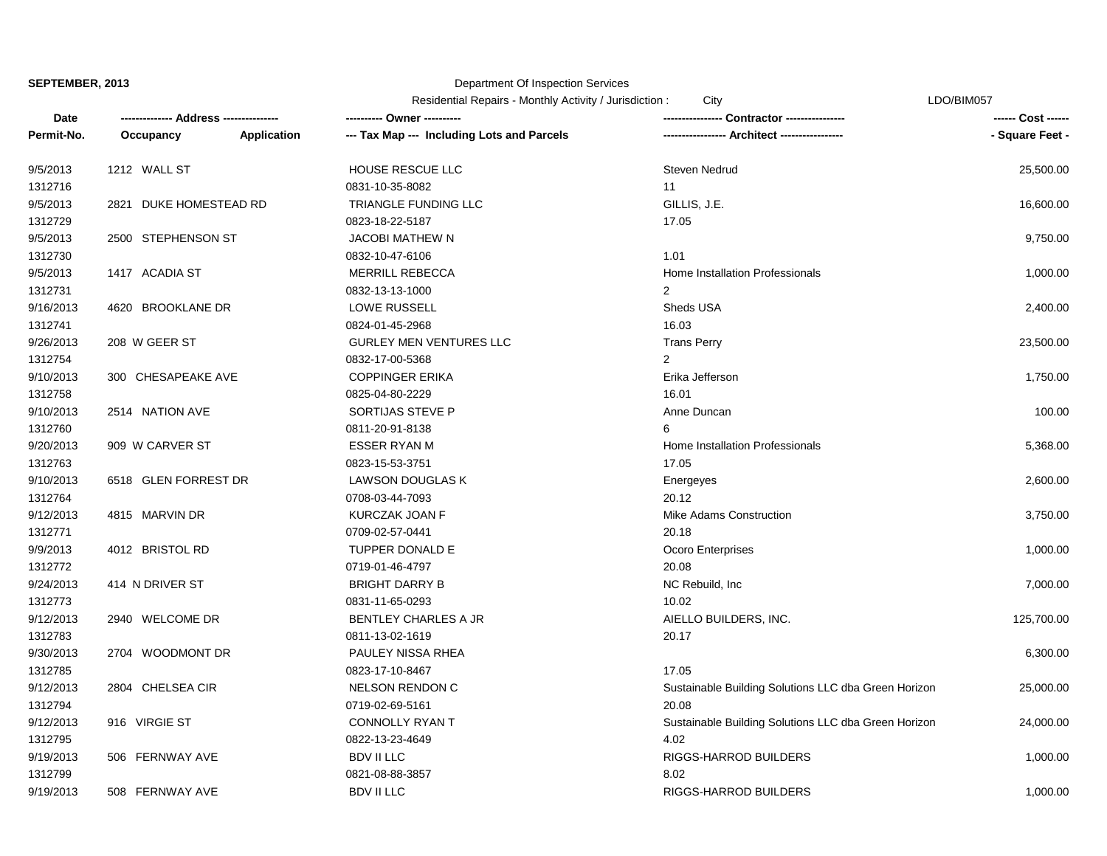|            |                        |             | Residential Repairs - Monthly Activity / Jurisdiction :<br>City |                                                      | LDO/BIM057         |
|------------|------------------------|-------------|-----------------------------------------------------------------|------------------------------------------------------|--------------------|
| Date       | Address -----          |             | ---------- Owner ----------                                     | <b>Contractor -----------</b>                        | ------ Cost ------ |
| Permit-No. | Occupancy              | Application | --- Tax Map --- Including Lots and Parcels                      | -- Architect -----                                   | - Square Feet -    |
| 9/5/2013   | 1212 WALL ST           |             | <b>HOUSE RESCUE LLC</b>                                         | <b>Steven Nedrud</b>                                 | 25,500.00          |
| 1312716    |                        |             | 0831-10-35-8082                                                 | 11                                                   |                    |
| 9/5/2013   | 2821 DUKE HOMESTEAD RD |             | TRIANGLE FUNDING LLC                                            | GILLIS, J.E.                                         | 16,600.00          |
| 1312729    |                        |             | 0823-18-22-5187                                                 | 17.05                                                |                    |
| 9/5/2013   | 2500 STEPHENSON ST     |             | <b>JACOBI MATHEW N</b>                                          |                                                      | 9,750.00           |
| 1312730    |                        |             | 0832-10-47-6106                                                 | 1.01                                                 |                    |
| 9/5/2013   | 1417 ACADIA ST         |             | <b>MERRILL REBECCA</b>                                          | Home Installation Professionals                      | 1,000.00           |
| 1312731    |                        |             | 0832-13-13-1000                                                 | 2                                                    |                    |
| 9/16/2013  | 4620 BROOKLANE DR      |             | LOWE RUSSELL                                                    | Sheds USA                                            | 2,400.00           |
| 1312741    |                        |             | 0824-01-45-2968                                                 | 16.03                                                |                    |
| 9/26/2013  | 208 W GEER ST          |             | <b>GURLEY MEN VENTURES LLC</b>                                  | <b>Trans Perry</b>                                   | 23,500.00          |
| 1312754    |                        |             | 0832-17-00-5368                                                 | $\overline{2}$                                       |                    |
| 9/10/2013  | 300 CHESAPEAKE AVE     |             | <b>COPPINGER ERIKA</b>                                          | Erika Jefferson                                      | 1,750.00           |
| 1312758    |                        |             | 0825-04-80-2229                                                 | 16.01                                                |                    |
| 9/10/2013  | 2514 NATION AVE        |             | SORTIJAS STEVE P                                                | Anne Duncan                                          | 100.00             |
| 1312760    |                        |             | 0811-20-91-8138                                                 | 6                                                    |                    |
| 9/20/2013  | 909 W CARVER ST        |             | <b>ESSER RYAN M</b>                                             | Home Installation Professionals                      | 5,368.00           |
| 1312763    |                        |             | 0823-15-53-3751                                                 | 17.05                                                |                    |
| 9/10/2013  | 6518 GLEN FORREST DR   |             | LAWSON DOUGLAS K                                                | Energeyes                                            | 2,600.00           |
| 1312764    |                        |             | 0708-03-44-7093                                                 | 20.12                                                |                    |
| 9/12/2013  | 4815 MARVIN DR         |             | KURCZAK JOAN F                                                  | <b>Mike Adams Construction</b>                       | 3,750.00           |
| 1312771    |                        |             | 0709-02-57-0441                                                 | 20.18                                                |                    |
| 9/9/2013   | 4012 BRISTOL RD        |             | TUPPER DONALD E                                                 | Ocoro Enterprises                                    | 1,000.00           |
| 1312772    |                        |             | 0719-01-46-4797                                                 | 20.08                                                |                    |
| 9/24/2013  | 414 N DRIVER ST        |             | <b>BRIGHT DARRY B</b>                                           | NC Rebuild, Inc.                                     | 7,000.00           |
| 1312773    |                        |             | 0831-11-65-0293                                                 | 10.02                                                |                    |
| 9/12/2013  | 2940 WELCOME DR        |             | <b>BENTLEY CHARLES A JR</b>                                     | AIELLO BUILDERS, INC.                                | 125,700.00         |
| 1312783    |                        |             | 0811-13-02-1619                                                 | 20.17                                                |                    |
| 9/30/2013  | 2704 WOODMONT DR       |             | PAULEY NISSA RHEA                                               |                                                      | 6,300.00           |
| 1312785    |                        |             | 0823-17-10-8467                                                 | 17.05                                                |                    |
| 9/12/2013  | 2804 CHELSEA CIR       |             | NELSON RENDON C                                                 | Sustainable Building Solutions LLC dba Green Horizon | 25,000.00          |
| 1312794    |                        |             | 0719-02-69-5161                                                 | 20.08                                                |                    |
| 9/12/2013  | 916 VIRGIE ST          |             | CONNOLLY RYAN T                                                 | Sustainable Building Solutions LLC dba Green Horizon | 24,000.00          |
| 1312795    |                        |             | 0822-13-23-4649                                                 | 4.02                                                 |                    |
| 9/19/2013  | 506 FERNWAY AVE        |             | <b>BDV II LLC</b>                                               | RIGGS-HARROD BUILDERS                                | 1,000.00           |
| 1312799    |                        |             | 0821-08-88-3857                                                 | 8.02                                                 |                    |
| 9/19/2013  | 508 FERNWAY AVE        |             | <b>BDV II LLC</b>                                               | RIGGS-HARROD BUILDERS                                | 1,000.00           |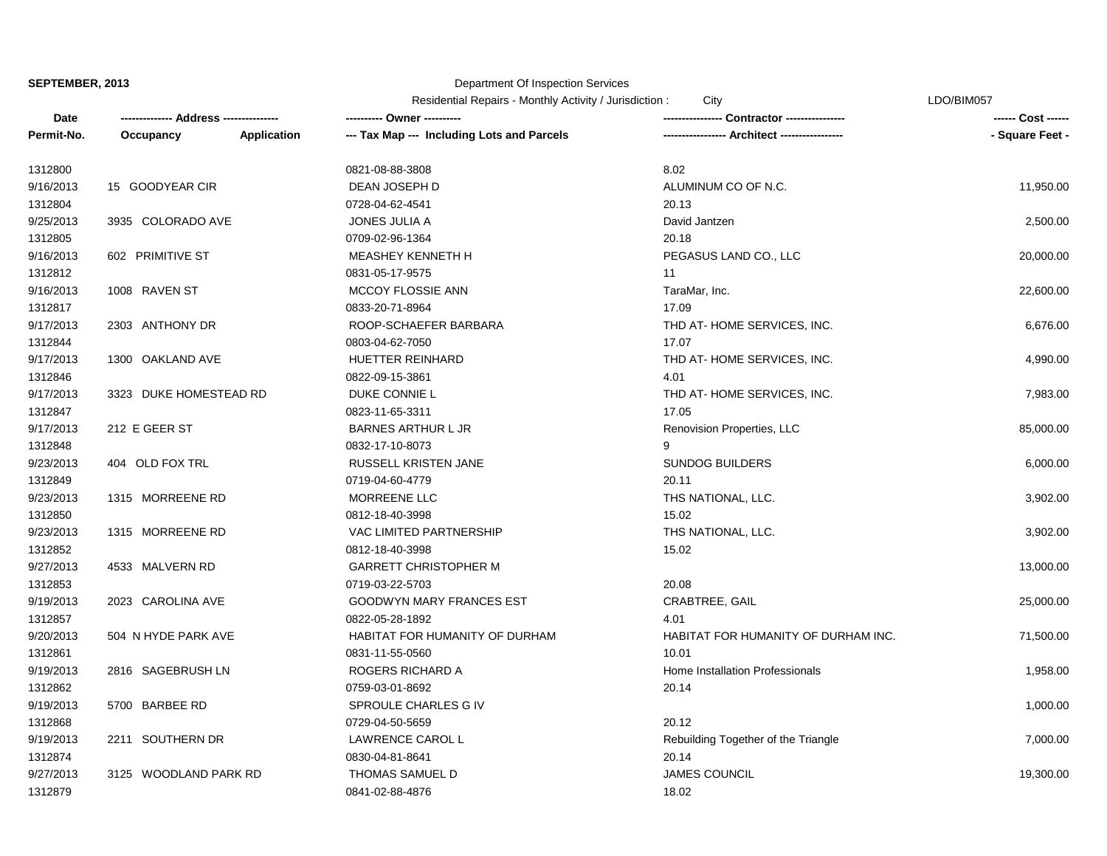## Department Of Inspection Services

| Residential Repairs - Monthly Activity / Jurisdiction : |  |  |
|---------------------------------------------------------|--|--|
|---------------------------------------------------------|--|--|

Residential Repairs - Monthly Activity - Monthly Activity - MonthLyne : City Activity - City Activity - City LDO/BIM057

| Date       |                        |                    | ---------- Owner ----------                |                                     | ------ Cost ------ |
|------------|------------------------|--------------------|--------------------------------------------|-------------------------------------|--------------------|
| Permit-No. | Occupancy              | <b>Application</b> | --- Tax Map --- Including Lots and Parcels | ---- Architect ------------------   | - Square Feet -    |
| 1312800    |                        |                    | 0821-08-88-3808                            | 8.02                                |                    |
| 9/16/2013  | 15 GOODYEAR CIR        |                    | DEAN JOSEPH D                              | ALUMINUM CO OF N.C.                 | 11,950.00          |
| 1312804    |                        |                    | 0728-04-62-4541                            | 20.13                               |                    |
| 9/25/2013  | 3935 COLORADO AVE      |                    | JONES JULIA A                              | David Jantzen                       | 2,500.00           |
| 1312805    |                        |                    | 0709-02-96-1364                            | 20.18                               |                    |
| 9/16/2013  | 602 PRIMITIVE ST       |                    | MEASHEY KENNETH H                          | PEGASUS LAND CO., LLC               | 20,000.00          |
| 1312812    |                        |                    | 0831-05-17-9575                            | 11                                  |                    |
| 9/16/2013  | 1008 RAVEN ST          |                    | MCCOY FLOSSIE ANN                          | TaraMar, Inc.                       | 22,600.00          |
| 1312817    |                        |                    | 0833-20-71-8964                            | 17.09                               |                    |
| 9/17/2013  | 2303 ANTHONY DR        |                    | ROOP-SCHAEFER BARBARA                      | THD AT-HOME SERVICES, INC.          | 6,676.00           |
| 1312844    |                        |                    | 0803-04-62-7050                            | 17.07                               |                    |
| 9/17/2013  | 1300 OAKLAND AVE       |                    | HUETTER REINHARD                           | THD AT-HOME SERVICES, INC.          | 4,990.00           |
| 1312846    |                        |                    | 0822-09-15-3861                            | 4.01                                |                    |
| 9/17/2013  | 3323 DUKE HOMESTEAD RD |                    | DUKE CONNIE L                              | THD AT-HOME SERVICES, INC.          | 7,983.00           |
| 1312847    |                        |                    | 0823-11-65-3311                            | 17.05                               |                    |
| 9/17/2013  | 212 E GEER ST          |                    | <b>BARNES ARTHUR L JR</b>                  | Renovision Properties, LLC          | 85,000.00          |
| 1312848    |                        |                    | 0832-17-10-8073                            | 9                                   |                    |
| 9/23/2013  | 404 OLD FOX TRL        |                    | RUSSELL KRISTEN JANE                       | <b>SUNDOG BUILDERS</b>              | 6,000.00           |
| 1312849    |                        |                    | 0719-04-60-4779                            | 20.11                               |                    |
| 9/23/2013  | 1315 MORREENE RD       |                    | MORREENE LLC                               | THS NATIONAL, LLC.                  | 3,902.00           |
| 1312850    |                        |                    | 0812-18-40-3998                            | 15.02                               |                    |
| 9/23/2013  | 1315 MORREENE RD       |                    | VAC LIMITED PARTNERSHIP                    | THS NATIONAL, LLC.                  | 3,902.00           |
| 1312852    |                        |                    | 0812-18-40-3998                            | 15.02                               |                    |
| 9/27/2013  | 4533 MALVERN RD        |                    | <b>GARRETT CHRISTOPHER M</b>               |                                     | 13,000.00          |
| 1312853    |                        |                    | 0719-03-22-5703                            | 20.08                               |                    |
| 9/19/2013  | 2023 CAROLINA AVE      |                    | <b>GOODWYN MARY FRANCES EST</b>            | CRABTREE, GAIL                      | 25,000.00          |
| 1312857    |                        |                    | 0822-05-28-1892                            | 4.01                                |                    |
| 9/20/2013  | 504 N HYDE PARK AVE    |                    | HABITAT FOR HUMANITY OF DURHAM             | HABITAT FOR HUMANITY OF DURHAM INC. | 71,500.00          |
| 1312861    |                        |                    | 0831-11-55-0560                            | 10.01                               |                    |
| 9/19/2013  | 2816 SAGEBRUSH LN      |                    | ROGERS RICHARD A                           | Home Installation Professionals     | 1,958.00           |
| 1312862    |                        |                    | 0759-03-01-8692                            | 20.14                               |                    |
| 9/19/2013  | 5700 BARBEE RD         |                    | SPROULE CHARLES G IV                       |                                     | 1,000.00           |
| 1312868    |                        |                    | 0729-04-50-5659                            | 20.12                               |                    |
| 9/19/2013  | 2211 SOUTHERN DR       |                    | LAWRENCE CAROL L                           | Rebuilding Together of the Triangle | 7,000.00           |
| 1312874    |                        |                    | 0830-04-81-8641                            | 20.14                               |                    |
| 9/27/2013  | 3125 WOODLAND PARK RD  |                    | THOMAS SAMUEL D                            | <b>JAMES COUNCIL</b>                | 19,300.00          |
| 1312879    |                        |                    | 0841-02-88-4876                            | 18.02                               |                    |